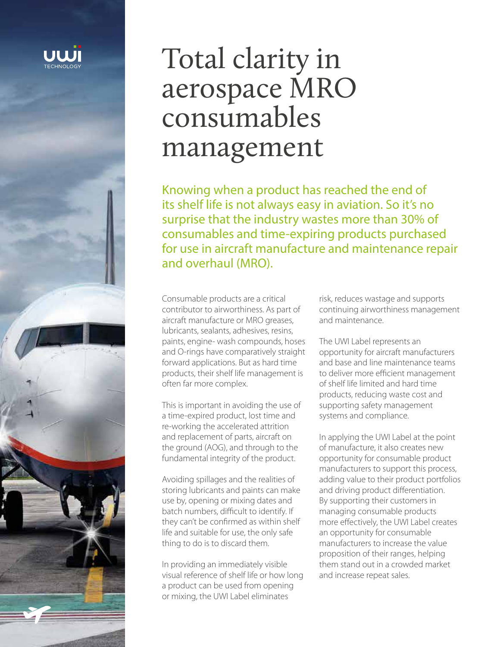

# Total clarity in aerospace MRO consumables management

Knowing when a product has reached the end of its shelf life is not always easy in aviation. So it's no surprise that the industry wastes more than 30% of consumables and time-expiring products purchased for use in aircraft manufacture and maintenance repair and overhaul (MRO).

Consumable products are a critical contributor to airworthiness. As part of aircraft manufacture or MRO greases, lubricants, sealants, adhesives, resins, paints, engine- wash compounds, hoses and O-rings have comparatively straight forward applications. But as hard time products, their shelf life management is often far more complex.

This is important in avoiding the use of a time-expired product, lost time and re-working the accelerated attrition and replacement of parts, aircraft on the ground (AOG), and through to the fundamental integrity of the product.

Avoiding spillages and the realities of storing lubricants and paints can make use by, opening or mixing dates and batch numbers, difficult to identify. If they can't be confirmed as within shelf life and suitable for use, the only safe thing to do is to discard them.

In providing an immediately visible visual reference of shelf life or how long a product can be used from opening or mixing, the UWI Label eliminates

risk, reduces wastage and supports continuing airworthiness management and maintenance.

The UWI Label represents an opportunity for aircraft manufacturers and base and line maintenance teams to deliver more efficient management of shelf life limited and hard time products, reducing waste cost and supporting safety management systems and compliance.

In applying the UWI Label at the point of manufacture, it also creates new opportunity for consumable product manufacturers to support this process, adding value to their product portfolios and driving product differentiation. By supporting their customers in managing consumable products more effectively, the UWI Label creates an opportunity for consumable manufacturers to increase the value proposition of their ranges, helping them stand out in a crowded market and increase repeat sales.